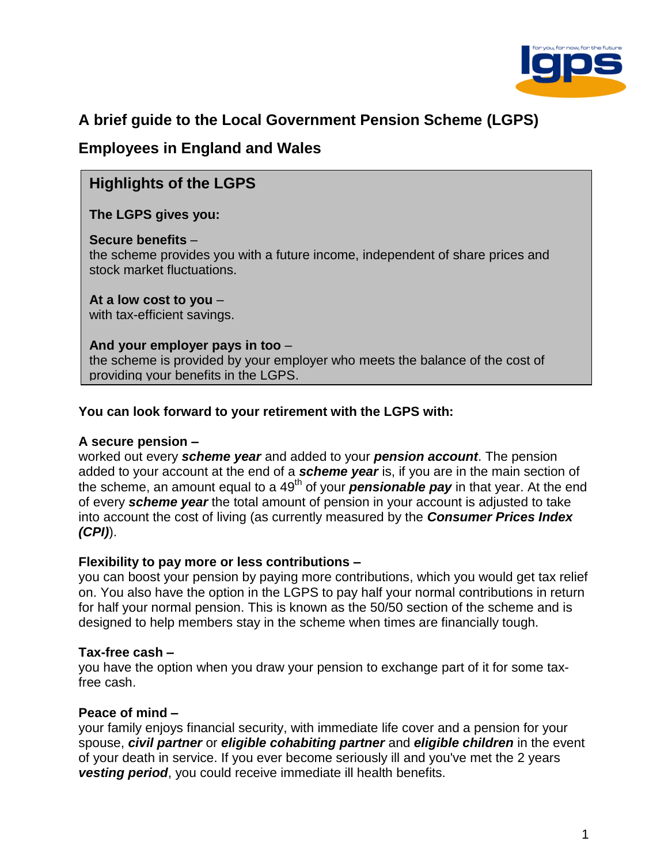

# **A brief guide to the Local Government Pension Scheme (LGPS)**

# **Employees in England and Wales**

# **Highlights of the LGPS**

### **The LGPS gives you:**

#### **Secure benefits** –

the scheme provides you with a future income, independent of share prices and stock market fluctuations.

# **At a low cost to you** –

with tax-efficient savings.

#### **And your employer pays in too** –

the scheme is provided by your employer who meets the balance of the cost of providing your benefits in the LGPS.

### **You can look forward to your retirement with the LGPS with:**

#### **A secure pension –**

worked out every *scheme year* and added to your *pension account*. The pension added to your account at the end of a *scheme year* is, if you are in the main section of the scheme, an amount equal to a 49<sup>th</sup> of your **pensionable pay** in that year. At the end of every *scheme year* the total amount of pension in your account is adjusted to take into account the cost of living (as currently measured by the *Consumer Prices Index (CPI)*).

#### **Flexibility to pay more or less contributions –**

you can boost your pension by paying more contributions, which you would get tax relief on. You also have the option in the LGPS to pay half your normal contributions in return for half your normal pension. This is known as the 50/50 section of the scheme and is designed to help members stay in the scheme when times are financially tough.

#### **Tax-free cash –**

you have the option when you draw your pension to exchange part of it for some taxfree cash.

### **Peace of mind –**

your family enjoys financial security, with immediate life cover and a pension for your spouse, *civil partner* or *eligible cohabiting partner* and *eligible children* in the event of your death in service. If you ever become seriously ill and you've met the 2 years *vesting period*, you could receive immediate ill health benefits.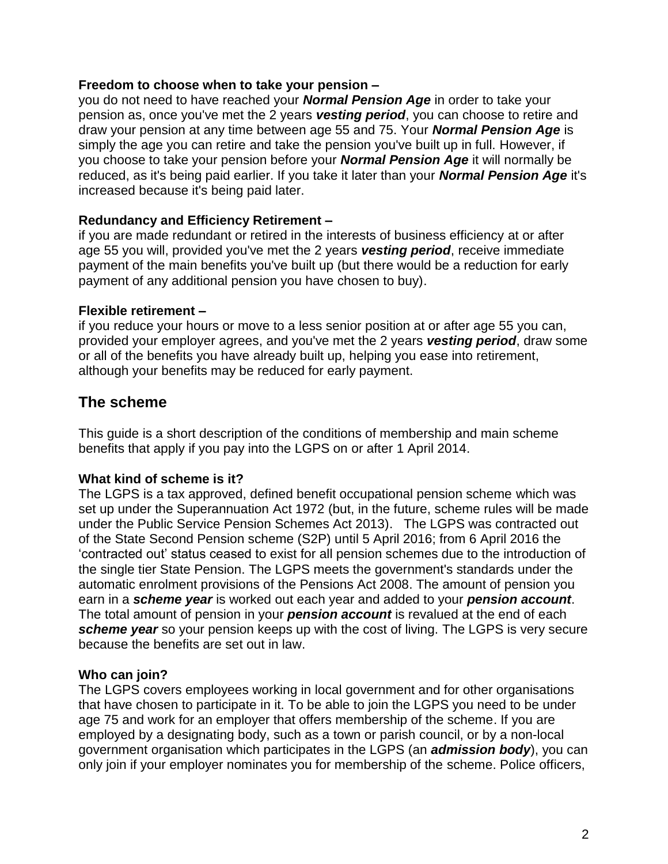#### **Freedom to choose when to take your pension –**

you do not need to have reached your *Normal Pension Age* in order to take your pension as, once you've met the 2 years *vesting period*, you can choose to retire and draw your pension at any time between age 55 and 75. Your *Normal Pension Age* is simply the age you can retire and take the pension you've built up in full. However, if you choose to take your pension before your *Normal Pension Age* it will normally be reduced, as it's being paid earlier. If you take it later than your *Normal Pension Age* it's increased because it's being paid later.

### **Redundancy and Efficiency Retirement –**

if you are made redundant or retired in the interests of business efficiency at or after age 55 you will, provided you've met the 2 years *vesting period*, receive immediate payment of the main benefits you've built up (but there would be a reduction for early payment of any additional pension you have chosen to buy).

### **Flexible retirement –**

if you reduce your hours or move to a less senior position at or after age 55 you can, provided your employer agrees, and you've met the 2 years *vesting period*, draw some or all of the benefits you have already built up, helping you ease into retirement, although your benefits may be reduced for early payment.

## **The scheme**

This guide is a short description of the conditions of membership and main scheme benefits that apply if you pay into the LGPS on or after 1 April 2014.

### **What kind of scheme is it?**

The LGPS is a tax approved, defined benefit occupational pension scheme which was set up under the Superannuation Act 1972 (but, in the future, scheme rules will be made under the Public Service Pension Schemes Act 2013). The LGPS was contracted out of the State Second Pension scheme (S2P) until 5 April 2016; from 6 April 2016 the 'contracted out' status ceased to exist for all pension schemes due to the introduction of the single tier State Pension. The LGPS meets the government's standards under the automatic enrolment provisions of the Pensions Act 2008. The amount of pension you earn in a *scheme year* is worked out each year and added to your *pension account*. The total amount of pension in your *pension account* is revalued at the end of each *scheme year* so your pension keeps up with the cost of living. The LGPS is very secure because the benefits are set out in law.

#### **Who can join?**

The LGPS covers employees working in local government and for other organisations that have chosen to participate in it. To be able to join the LGPS you need to be under age 75 and work for an employer that offers membership of the scheme. If you are employed by a designating body, such as a town or parish council, or by a non-local government organisation which participates in the LGPS (an *admission body*), you can only join if your employer nominates you for membership of the scheme. Police officers,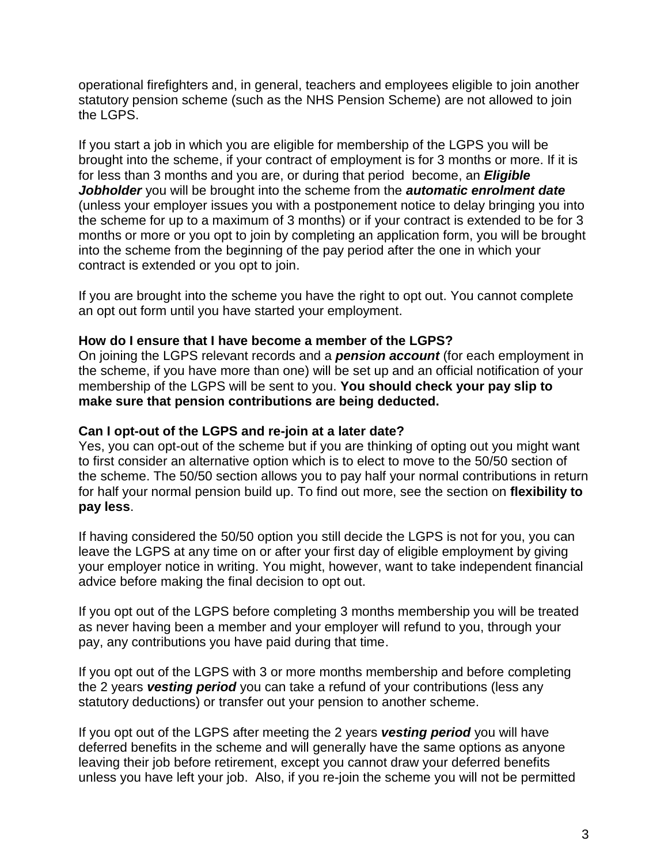operational firefighters and, in general, teachers and employees eligible to join another statutory pension scheme (such as the NHS Pension Scheme) are not allowed to join the LGPS.

If you start a job in which you are eligible for membership of the LGPS you will be brought into the scheme, if your contract of employment is for 3 months or more. If it is for less than 3 months and you are, or during that period become, an *Eligible Jobholder* you will be brought into the scheme from the *automatic enrolment date* (unless your employer issues you with a postponement notice to delay bringing you into the scheme for up to a maximum of 3 months) or if your contract is extended to be for 3 months or more or you opt to join by completing an application form, you will be brought into the scheme from the beginning of the pay period after the one in which your contract is extended or you opt to join.

If you are brought into the scheme you have the right to opt out. You cannot complete an opt out form until you have started your employment.

### **How do I ensure that I have become a member of the LGPS?**

On joining the LGPS relevant records and a *pension account* (for each employment in the scheme, if you have more than one) will be set up and an official notification of your membership of the LGPS will be sent to you. **You should check your pay slip to make sure that pension contributions are being deducted.**

#### **Can I opt-out of the LGPS and re-join at a later date?**

Yes, you can opt-out of the scheme but if you are thinking of opting out you might want to first consider an alternative option which is to elect to move to the 50/50 section of the scheme. The 50/50 section allows you to pay half your normal contributions in return for half your normal pension build up. To find out more, see the section on **flexibility to pay less**.

If having considered the 50/50 option you still decide the LGPS is not for you, you can leave the LGPS at any time on or after your first day of eligible employment by giving your employer notice in writing. You might, however, want to take independent financial advice before making the final decision to opt out.

If you opt out of the LGPS before completing 3 months membership you will be treated as never having been a member and your employer will refund to you, through your pay, any contributions you have paid during that time.

If you opt out of the LGPS with 3 or more months membership and before completing the 2 years *vesting period* you can take a refund of your contributions (less any statutory deductions) or transfer out your pension to another scheme.

If you opt out of the LGPS after meeting the 2 years *vesting period* you will have deferred benefits in the scheme and will generally have the same options as anyone leaving their job before retirement, except you cannot draw your deferred benefits unless you have left your job. Also, if you re-join the scheme you will not be permitted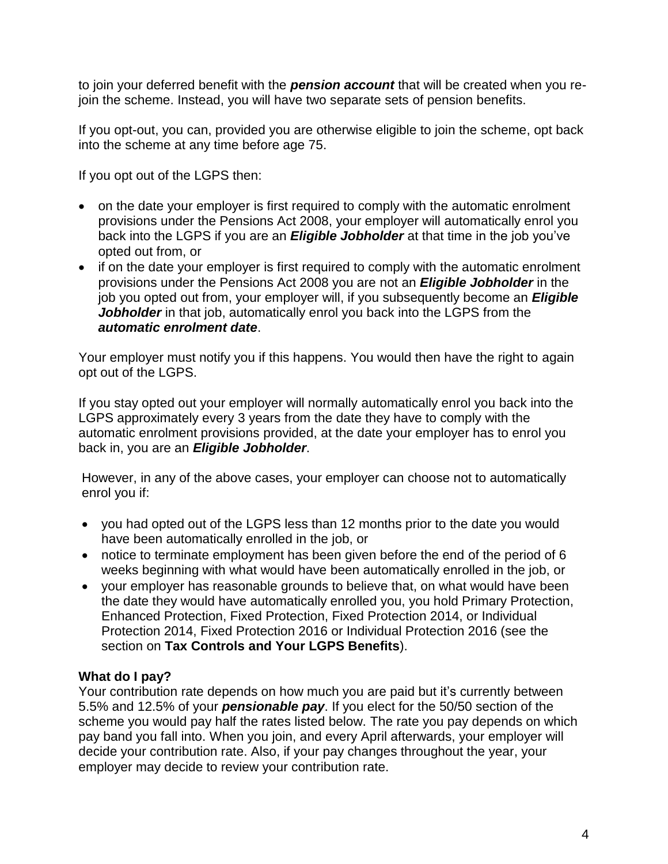to join your deferred benefit with the *pension account* that will be created when you rejoin the scheme. Instead, you will have two separate sets of pension benefits.

If you opt-out, you can, provided you are otherwise eligible to join the scheme, opt back into the scheme at any time before age 75.

If you opt out of the LGPS then:

- on the date your employer is first required to comply with the automatic enrolment provisions under the Pensions Act 2008, your employer will automatically enrol you back into the LGPS if you are an *Eligible Jobholder* at that time in the job you've opted out from, or
- if on the date your employer is first required to comply with the automatic enrolment provisions under the Pensions Act 2008 you are not an *Eligible Jobholder* in the job you opted out from, your employer will, if you subsequently become an *Eligible Jobholder* in that job, automatically enrol you back into the LGPS from the *automatic enrolment date*.

Your employer must notify you if this happens. You would then have the right to again opt out of the LGPS.

If you stay opted out your employer will normally automatically enrol you back into the LGPS approximately every 3 years from the date they have to comply with the automatic enrolment provisions provided, at the date your employer has to enrol you back in, you are an *Eligible Jobholder*.

However, in any of the above cases, your employer can choose not to automatically enrol you if:

- you had opted out of the LGPS less than 12 months prior to the date you would have been automatically enrolled in the job, or
- notice to terminate employment has been given before the end of the period of 6 weeks beginning with what would have been automatically enrolled in the job, or
- your employer has reasonable grounds to believe that, on what would have been the date they would have automatically enrolled you, you hold Primary Protection, Enhanced Protection, Fixed Protection, Fixed Protection 2014, or Individual Protection 2014, Fixed Protection 2016 or Individual Protection 2016 (see the section on **Tax Controls and Your LGPS Benefits**).

### **What do I pay?**

Your contribution rate depends on how much you are paid but it's currently between 5.5% and 12.5% of your *pensionable pay*. If you elect for the 50/50 section of the scheme you would pay half the rates listed below. The rate you pay depends on which pay band you fall into. When you join, and every April afterwards, your employer will decide your contribution rate. Also, if your pay changes throughout the year, your employer may decide to review your contribution rate.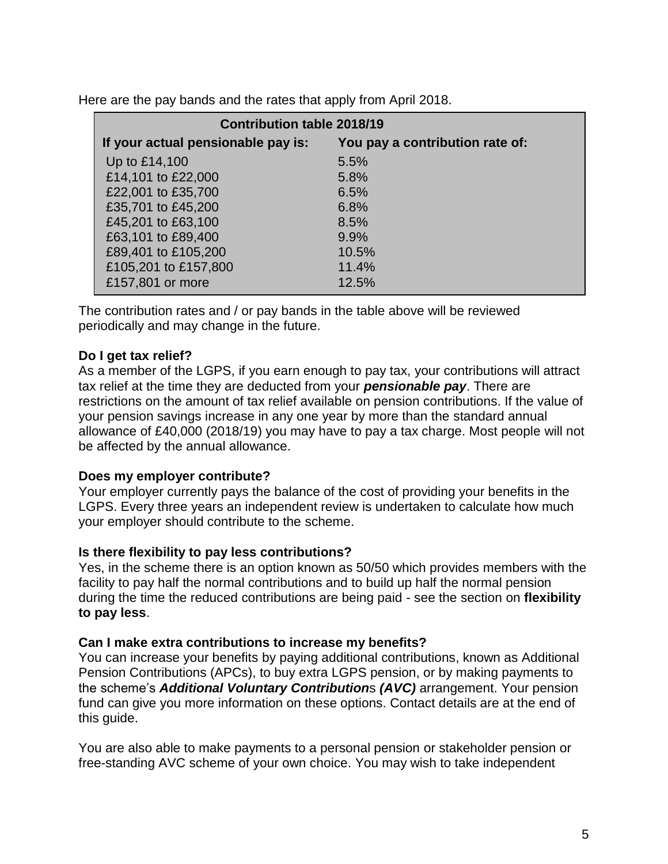Here are the pay bands and the rates that apply from April 2018.

| <b>Contribution table 2018/19</b>  |                                 |  |  |
|------------------------------------|---------------------------------|--|--|
| If your actual pensionable pay is: | You pay a contribution rate of: |  |  |
| Up to £14,100                      | 5.5%                            |  |  |
| £14,101 to £22,000                 | 5.8%                            |  |  |
| £22,001 to £35,700                 | 6.5%                            |  |  |
| £35,701 to £45,200                 | 6.8%                            |  |  |
| £45,201 to £63,100                 | 8.5%                            |  |  |
| £63,101 to £89,400                 | 9.9%                            |  |  |
| £89,401 to £105,200                | 10.5%                           |  |  |
| £105,201 to £157,800               | 11.4%                           |  |  |
| £157,801 or more                   | 12.5%                           |  |  |

The contribution rates and / or pay bands in the table above will be reviewed periodically and may change in the future.

### **Do I get tax relief?**

As a member of the LGPS, if you earn enough to pay tax, your contributions will attract tax relief at the time they are deducted from your *pensionable pay*. There are restrictions on the amount of tax relief available on pension contributions. If the value of your pension savings increase in any one year by more than the standard annual allowance of £40,000 (2018/19) you may have to pay a tax charge. Most people will not be affected by the annual allowance.

#### **Does my employer contribute?**

Your employer currently pays the balance of the cost of providing your benefits in the LGPS. Every three years an independent review is undertaken to calculate how much your employer should contribute to the scheme.

#### **Is there flexibility to pay less contributions?**

Yes, in the scheme there is an option known as 50/50 which provides members with the facility to pay half the normal contributions and to build up half the normal pension during the time the reduced contributions are being paid - see the section on **flexibility to pay less**.

### **Can I make extra contributions to increase my benefits?**

You can increase your benefits by paying additional contributions, known as Additional Pension Contributions (APCs), to buy extra LGPS pension, or by making payments to the scheme's *Additional Voluntary Contribution*s *(AVC)* arrangement. Your pension fund can give you more information on these options. Contact details are at the end of this guide.

You are also able to make payments to a personal pension or stakeholder pension or free-standing AVC scheme of your own choice. You may wish to take independent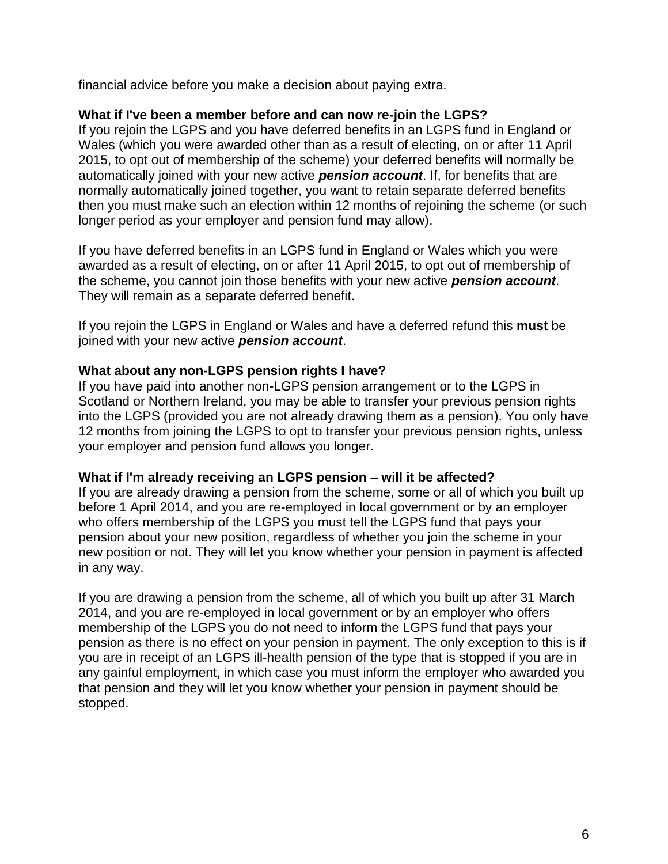financial advice before you make a decision about paying extra.

#### **What if I've been a member before and can now re-join the LGPS?**

If you rejoin the LGPS and you have deferred benefits in an LGPS fund in England or Wales (which you were awarded other than as a result of electing, on or after 11 April 2015, to opt out of membership of the scheme) your deferred benefits will normally be automatically joined with your new active *pension account*. If, for benefits that are normally automatically joined together, you want to retain separate deferred benefits then you must make such an election within 12 months of rejoining the scheme (or such longer period as your employer and pension fund may allow).

If you have deferred benefits in an LGPS fund in England or Wales which you were awarded as a result of electing, on or after 11 April 2015, to opt out of membership of the scheme, you cannot join those benefits with your new active *pension account*. They will remain as a separate deferred benefit.

If you rejoin the LGPS in England or Wales and have a deferred refund this **must** be joined with your new active *pension account*.

#### **What about any non-LGPS pension rights I have?**

If you have paid into another non-LGPS pension arrangement or to the LGPS in Scotland or Northern Ireland, you may be able to transfer your previous pension rights into the LGPS (provided you are not already drawing them as a pension). You only have 12 months from joining the LGPS to opt to transfer your previous pension rights, unless your employer and pension fund allows you longer.

#### **What if I'm already receiving an LGPS pension – will it be affected?**

If you are already drawing a pension from the scheme, some or all of which you built up before 1 April 2014, and you are re-employed in local government or by an employer who offers membership of the LGPS you must tell the LGPS fund that pays your pension about your new position, regardless of whether you join the scheme in your new position or not. They will let you know whether your pension in payment is affected in any way.

If you are drawing a pension from the scheme, all of which you built up after 31 March 2014, and you are re-employed in local government or by an employer who offers membership of the LGPS you do not need to inform the LGPS fund that pays your pension as there is no effect on your pension in payment. The only exception to this is if you are in receipt of an LGPS ill-health pension of the type that is stopped if you are in any gainful employment, in which case you must inform the employer who awarded you that pension and they will let you know whether your pension in payment should be stopped.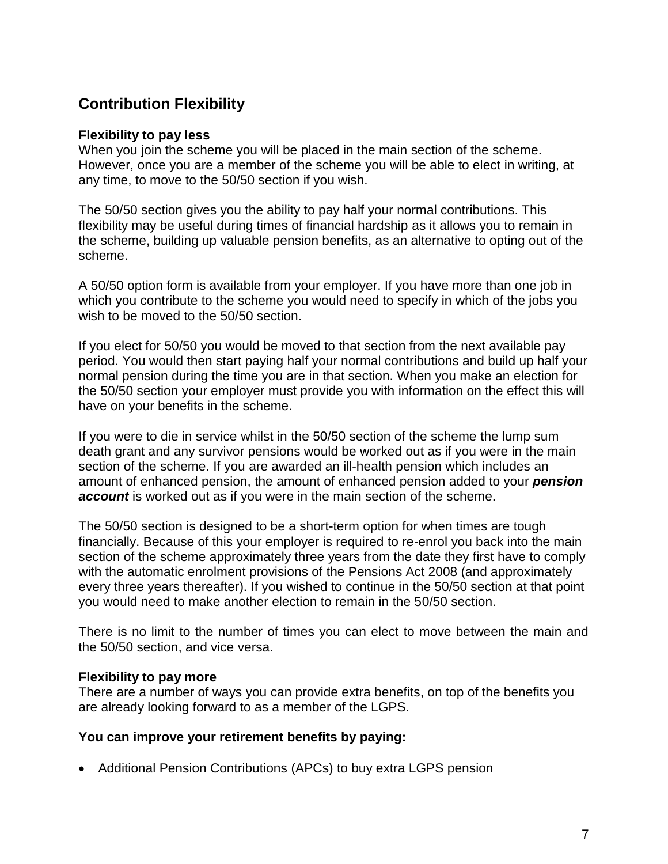# **Contribution Flexibility**

#### **Flexibility to pay less**

When you join the scheme you will be placed in the main section of the scheme. However, once you are a member of the scheme you will be able to elect in writing, at any time, to move to the 50/50 section if you wish.

The 50/50 section gives you the ability to pay half your normal contributions. This flexibility may be useful during times of financial hardship as it allows you to remain in the scheme, building up valuable pension benefits, as an alternative to opting out of the scheme.

A 50/50 option form is available from your employer. If you have more than one job in which you contribute to the scheme you would need to specify in which of the jobs you wish to be moved to the 50/50 section.

If you elect for 50/50 you would be moved to that section from the next available pay period. You would then start paying half your normal contributions and build up half your normal pension during the time you are in that section. When you make an election for the 50/50 section your employer must provide you with information on the effect this will have on your benefits in the scheme.

If you were to die in service whilst in the 50/50 section of the scheme the lump sum death grant and any survivor pensions would be worked out as if you were in the main section of the scheme. If you are awarded an ill-health pension which includes an amount of enhanced pension, the amount of enhanced pension added to your *pension account* is worked out as if you were in the main section of the scheme.

The 50/50 section is designed to be a short-term option for when times are tough financially. Because of this your employer is required to re-enrol you back into the main section of the scheme approximately three years from the date they first have to comply with the automatic enrolment provisions of the Pensions Act 2008 (and approximately every three years thereafter). If you wished to continue in the 50/50 section at that point you would need to make another election to remain in the 50/50 section.

There is no limit to the number of times you can elect to move between the main and the 50/50 section, and vice versa.

### **Flexibility to pay more**

There are a number of ways you can provide extra benefits, on top of the benefits you are already looking forward to as a member of the LGPS.

### **You can improve your retirement benefits by paying:**

Additional Pension Contributions (APCs) to buy extra LGPS pension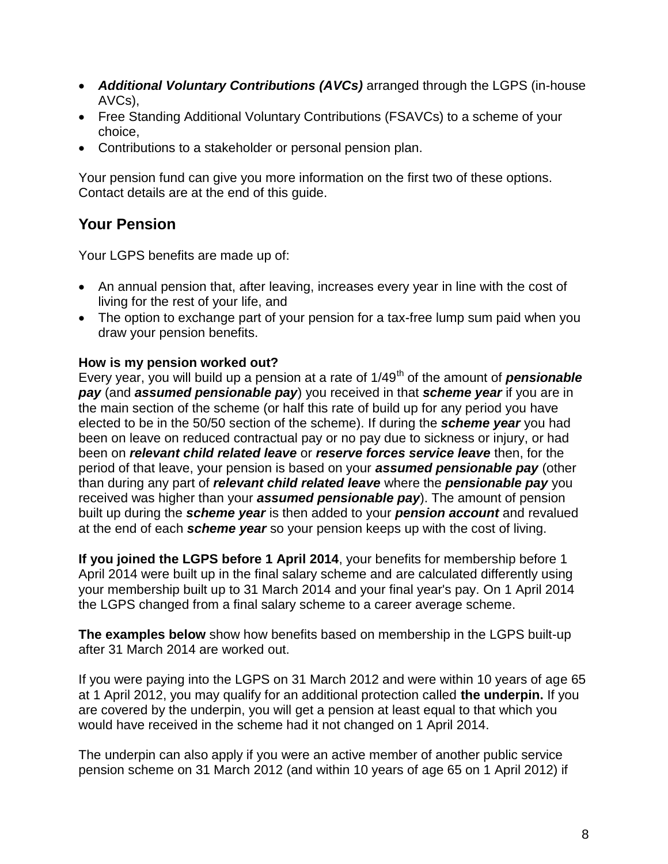- *Additional Voluntary Contributions (AVCs)* arranged through the LGPS (in-house AVCs),
- Free Standing Additional Voluntary Contributions (FSAVCs) to a scheme of your choice,
- Contributions to a stakeholder or personal pension plan.

Your pension fund can give you more information on the first two of these options. Contact details are at the end of this guide.

# **Your Pension**

Your LGPS benefits are made up of:

- An annual pension that, after leaving, increases every year in line with the cost of living for the rest of your life, and
- The option to exchange part of your pension for a tax-free lump sum paid when you draw your pension benefits.

### **How is my pension worked out?**

Every year, you will build up a pension at a rate of 1/49<sup>th</sup> of the amount of **pensionable** *pay* (and *assumed pensionable pay*) you received in that *scheme year* if you are in the main section of the scheme (or half this rate of build up for any period you have elected to be in the 50/50 section of the scheme). If during the *scheme year* you had been on leave on reduced contractual pay or no pay due to sickness or injury, or had been on *relevant child related leave* or *reserve forces service leave* then, for the period of that leave, your pension is based on your *assumed pensionable pay* (other than during any part of *relevant child related leave* where the *pensionable pay* you received was higher than your *assumed pensionable pay*). The amount of pension built up during the *scheme year* is then added to your *pension account* and revalued at the end of each *scheme year* so your pension keeps up with the cost of living.

**If you joined the LGPS before 1 April 2014**, your benefits for membership before 1 April 2014 were built up in the final salary scheme and are calculated differently using your membership built up to 31 March 2014 and your final year's pay. On 1 April 2014 the LGPS changed from a final salary scheme to a career average scheme.

**The examples below** show how benefits based on membership in the LGPS built-up after 31 March 2014 are worked out.

If you were paying into the LGPS on 31 March 2012 and were within 10 years of age 65 at 1 April 2012, you may qualify for an additional protection called **the underpin.** If you are covered by the underpin, you will get a pension at least equal to that which you would have received in the scheme had it not changed on 1 April 2014.

The underpin can also apply if you were an active member of another public service pension scheme on 31 March 2012 (and within 10 years of age 65 on 1 April 2012) if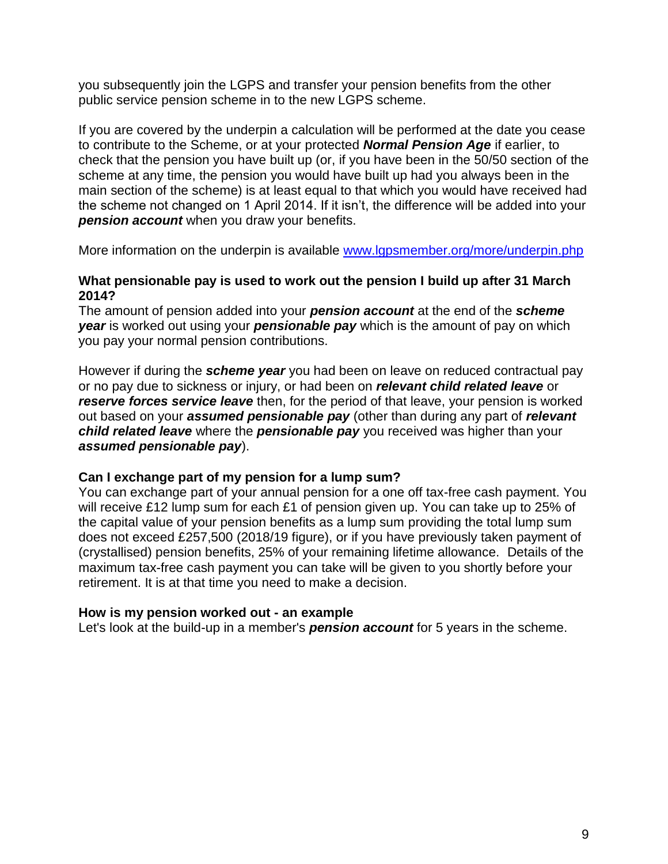you subsequently join the LGPS and transfer your pension benefits from the other public service pension scheme in to the new LGPS scheme.

If you are covered by the underpin a calculation will be performed at the date you cease to contribute to the Scheme, or at your protected *Normal Pension Age* if earlier, to check that the pension you have built up (or, if you have been in the 50/50 section of the scheme at any time, the pension you would have built up had you always been in the main section of the scheme) is at least equal to that which you would have received had the scheme not changed on 1 April 2014. If it isn't, the difference will be added into your *pension account* when you draw your benefits.

More information on the underpin is available [www.lgpsmember.org/more/underpin.php](http://www.lgpsmember.org/more/underpin.php)

#### **What pensionable pay is used to work out the pension I build up after 31 March 2014?**

The amount of pension added into your *pension account* at the end of the *scheme year* is worked out using your *pensionable pay* which is the amount of pay on which you pay your normal pension contributions.

However if during the *scheme year* you had been on leave on reduced contractual pay or no pay due to sickness or injury, or had been on *relevant child related leave* or *reserve forces service leave* then, for the period of that leave, your pension is worked out based on your *assumed pensionable pay* (other than during any part of *relevant child related leave* where the *pensionable pay* you received was higher than your *assumed pensionable pay*).

### **Can I exchange part of my pension for a lump sum?**

You can exchange part of your annual pension for a one off tax-free cash payment. You will receive £12 lump sum for each £1 of pension given up. You can take up to 25% of the capital value of your pension benefits as a lump sum providing the total lump sum does not exceed £257,500 (2018/19 figure), or if you have previously taken payment of (crystallised) pension benefits, 25% of your remaining lifetime allowance. Details of the maximum tax-free cash payment you can take will be given to you shortly before your retirement. It is at that time you need to make a decision.

#### **How is my pension worked out - an example**

Let's look at the build-up in a member's *pension account* for 5 years in the scheme.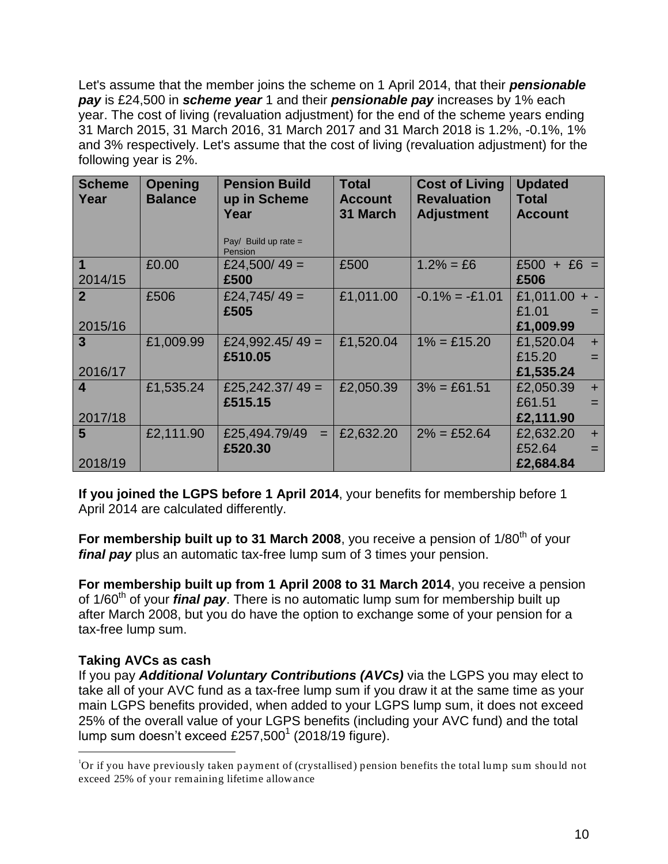Let's assume that the member joins the scheme on 1 April 2014, that their *pensionable pay* is £24,500 in *scheme year* 1 and their *pensionable pay* increases by 1% each year. The cost of living (revaluation adjustment) for the end of the scheme years ending 31 March 2015, 31 March 2016, 31 March 2017 and 31 March 2018 is 1.2%, -0.1%, 1% and 3% respectively. Let's assume that the cost of living (revaluation adjustment) for the following year is 2%.

| <b>Scheme</b><br>Year | <b>Opening</b><br><b>Balance</b> | <b>Pension Build</b><br>up in Scheme<br>Year<br>Pay/ Build up rate $=$<br>Pension | <b>Total</b><br><b>Account</b><br>31 March | <b>Cost of Living</b><br><b>Revaluation</b><br><b>Adjustment</b> | <b>Updated</b><br>Total<br><b>Account</b> |
|-----------------------|----------------------------------|-----------------------------------------------------------------------------------|--------------------------------------------|------------------------------------------------------------------|-------------------------------------------|
| $\blacktriangleleft$  | £0.00                            | £24,500/49 =                                                                      | £500                                       | $1.2\% = £6$                                                     | $£500 + £6 =$                             |
| 2014/15               |                                  | £500                                                                              |                                            |                                                                  | £506                                      |
| $\overline{2}$        | £506                             | £24,745/49 =                                                                      | £1,011.00                                  | $-0.1\% = -0.101$                                                | £1,011.00 + -                             |
|                       |                                  | £505                                                                              |                                            |                                                                  | £1.01<br>$=$                              |
| 2015/16               |                                  |                                                                                   |                                            |                                                                  | £1,009.99                                 |
| $\mathbf{3}$          | £1,009.99                        | £24,992.45/49 =                                                                   | £1,520.04                                  | $1\% = £15.20$                                                   | £1,520.04<br>$+$                          |
|                       |                                  | £510.05                                                                           |                                            |                                                                  | £15.20<br>$=$                             |
| 2016/17               |                                  |                                                                                   |                                            |                                                                  | £1,535.24                                 |
| $\boldsymbol{4}$      | £1,535.24                        | £25,242.37/49 =                                                                   | £2,050.39                                  | $3\% = \text{\pounds}61.51$                                      | £2,050.39<br>$+$                          |
|                       |                                  | £515.15                                                                           |                                            |                                                                  | £61.51<br>$=$                             |
| 2017/18               |                                  |                                                                                   |                                            |                                                                  | £2,111.90                                 |
| 5                     | £2,111.90                        | £25,494.79/49<br>$=$                                                              | £2,632.20                                  | $2\% = \text{\pounds}52.64$                                      | £2,632.20<br>$+$                          |
|                       |                                  | £520.30                                                                           |                                            |                                                                  | £52.64<br>$=$                             |
| 2018/19               |                                  |                                                                                   |                                            |                                                                  | £2,684.84                                 |

**If you joined the LGPS before 1 April 2014**, your benefits for membership before 1 April 2014 are calculated differently.

For membership built up to 31 March 2008, you receive a pension of 1/80<sup>th</sup> of your *final pay* plus an automatic tax-free lump sum of 3 times your pension.

**For membership built up from 1 April 2008 to 31 March 2014**, you receive a pension of 1/60th of your *final pay*. There is no automatic lump sum for membership built up after March 2008, but you do have the option to exchange some of your pension for a tax-free lump sum.

### **Taking AVCs as cash**

 $\overline{a}$ 

If you pay *Additional Voluntary Contributions (AVCs)* via the LGPS you may elect to take all of your AVC fund as a tax-free lump sum if you draw it at the same time as your main LGPS benefits provided, when added to your LGPS lump sum, it does not exceed 25% of the overall value of your LGPS benefits (including your AVC fund) and the total lump sum doesn't exceed £257,500<sup>1</sup> (2018/19 figure).

<sup>1</sup>Or if you have previously taken payment of (crystallised) pension benefits the total lump sum should not exceed 25% of your remaining lifetime allowance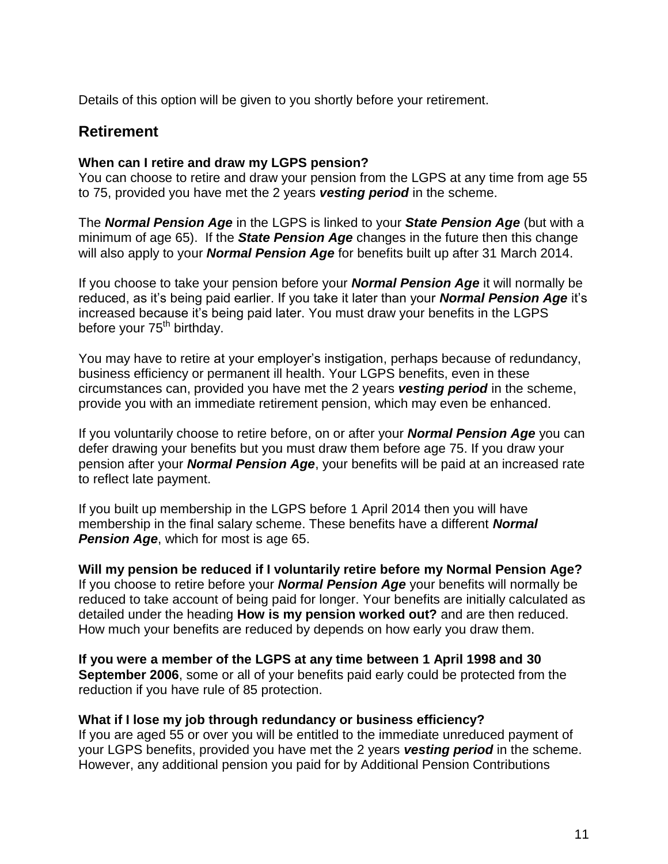Details of this option will be given to you shortly before your retirement.

## **Retirement**

#### **When can I retire and draw my LGPS pension?**

You can choose to retire and draw your pension from the LGPS at any time from age 55 to 75, provided you have met the 2 years *vesting period* in the scheme.

The *Normal Pension Age* in the LGPS is linked to your *State Pension Age* (but with a minimum of age 65). If the *State Pension Age* changes in the future then this change will also apply to your *Normal Pension Age* for benefits built up after 31 March 2014.

If you choose to take your pension before your *Normal Pension Age* it will normally be reduced, as it's being paid earlier. If you take it later than your *Normal Pension Age* it's increased because it's being paid later. You must draw your benefits in the LGPS before your 75<sup>th</sup> birthday.

You may have to retire at your employer's instigation, perhaps because of redundancy, business efficiency or permanent ill health. Your LGPS benefits, even in these circumstances can, provided you have met the 2 years *vesting period* in the scheme, provide you with an immediate retirement pension, which may even be enhanced.

If you voluntarily choose to retire before, on or after your *Normal Pension Age* you can defer drawing your benefits but you must draw them before age 75. If you draw your pension after your *Normal Pension Age*, your benefits will be paid at an increased rate to reflect late payment.

If you built up membership in the LGPS before 1 April 2014 then you will have membership in the final salary scheme. These benefits have a different *Normal Pension Age*, which for most is age 65.

**Will my pension be reduced if I voluntarily retire before my Normal Pension Age?** If you choose to retire before your *Normal Pension Age* your benefits will normally be reduced to take account of being paid for longer. Your benefits are initially calculated as detailed under the heading **How is my pension worked out?** and are then reduced. How much your benefits are reduced by depends on how early you draw them.

**If you were a member of the LGPS at any time between 1 April 1998 and 30 September 2006**, some or all of your benefits paid early could be protected from the reduction if you have rule of 85 protection.

#### **What if I lose my job through redundancy or business efficiency?**

If you are aged 55 or over you will be entitled to the immediate unreduced payment of your LGPS benefits, provided you have met the 2 years *vesting period* in the scheme. However, any additional pension you paid for by Additional Pension Contributions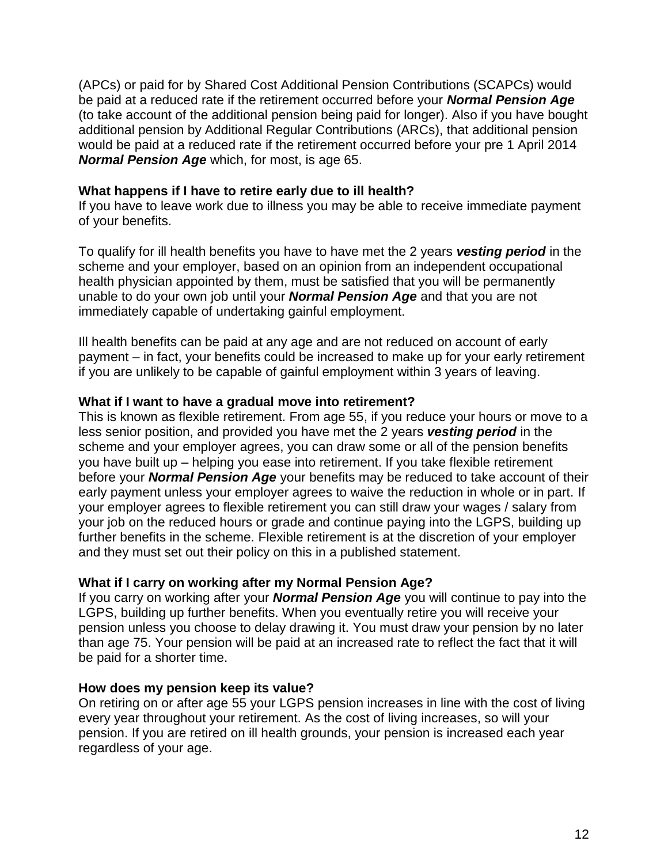(APCs) or paid for by Shared Cost Additional Pension Contributions (SCAPCs) would be paid at a reduced rate if the retirement occurred before your *Normal Pension Age* (to take account of the additional pension being paid for longer). Also if you have bought additional pension by Additional Regular Contributions (ARCs), that additional pension would be paid at a reduced rate if the retirement occurred before your pre 1 April 2014 *Normal Pension Age* which, for most, is age 65.

#### **What happens if I have to retire early due to ill health?**

If you have to leave work due to illness you may be able to receive immediate payment of your benefits.

To qualify for ill health benefits you have to have met the 2 years *vesting period* in the scheme and your employer, based on an opinion from an independent occupational health physician appointed by them, must be satisfied that you will be permanently unable to do your own job until your *Normal Pension Age* and that you are not immediately capable of undertaking gainful employment.

Ill health benefits can be paid at any age and are not reduced on account of early payment – in fact, your benefits could be increased to make up for your early retirement if you are unlikely to be capable of gainful employment within 3 years of leaving.

### **What if I want to have a gradual move into retirement?**

This is known as flexible retirement. From age 55, if you reduce your hours or move to a less senior position, and provided you have met the 2 years *vesting period* in the scheme and your employer agrees, you can draw some or all of the pension benefits you have built up – helping you ease into retirement. If you take flexible retirement before your *Normal Pension Age* your benefits may be reduced to take account of their early payment unless your employer agrees to waive the reduction in whole or in part. If your employer agrees to flexible retirement you can still draw your wages / salary from your job on the reduced hours or grade and continue paying into the LGPS, building up further benefits in the scheme. Flexible retirement is at the discretion of your employer and they must set out their policy on this in a published statement*.*

#### **What if I carry on working after my Normal Pension Age?**

If you carry on working after your *Normal Pension Age* you will continue to pay into the LGPS, building up further benefits. When you eventually retire you will receive your pension unless you choose to delay drawing it. You must draw your pension by no later than age 75. Your pension will be paid at an increased rate to reflect the fact that it will be paid for a shorter time.

### **How does my pension keep its value?**

On retiring on or after age 55 your LGPS pension increases in line with the cost of living every year throughout your retirement. As the cost of living increases, so will your pension. If you are retired on ill health grounds, your pension is increased each year regardless of your age.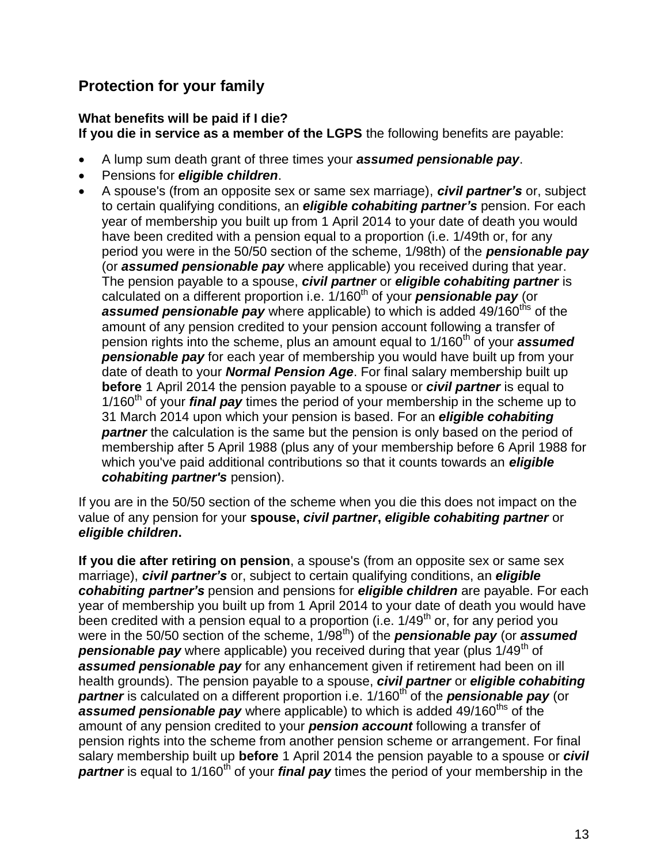# **Protection for your family**

### **What benefits will be paid if I die?**

**If you die in service as a member of the LGPS** the following benefits are payable:

- A lump sum death grant of three times your *assumed pensionable pay*.
- Pensions for *eligible children*.
- A spouse's (from an opposite sex or same sex marriage), *civil partner's* or, subject to certain qualifying conditions, an *eligible cohabiting partner's* pension. For each year of membership you built up from 1 April 2014 to your date of death you would have been credited with a pension equal to a proportion (i.e. 1/49th or, for any period you were in the 50/50 section of the scheme, 1/98th) of the *pensionable pay* (or *assumed pensionable pay* where applicable) you received during that year. The pension payable to a spouse, *civil partner* or *eligible cohabiting partner* is calculated on a different proportion i.e. 1/160<sup>th</sup> of your **pensionable pay** (or assumed pensionable pay where applicable) to which is added 49/160<sup>ths</sup> of the amount of any pension credited to your pension account following a transfer of pension rights into the scheme, plus an amount equal to 1/160<sup>th</sup> of your **assumed pensionable pay** for each year of membership you would have built up from your date of death to your *Normal Pension Age*. For final salary membership built up **before** 1 April 2014 the pension payable to a spouse or *civil partner* is equal to 1/160<sup>th</sup> of your *final pay* times the period of your membership in the scheme up to 31 March 2014 upon which your pension is based. For an *eligible cohabiting partner* the calculation is the same but the pension is only based on the period of membership after 5 April 1988 (plus any of your membership before 6 April 1988 for which you've paid additional contributions so that it counts towards an *eligible cohabiting partner's* pension).

If you are in the 50/50 section of the scheme when you die this does not impact on the value of any pension for your **spouse,** *civil partner***,** *eligible cohabiting partner* or *eligible children***.**

**If you die after retiring on pension**, a spouse's (from an opposite sex or same sex marriage), *civil partner's* or, subject to certain qualifying conditions, an *eligible cohabiting partner's* pension and pensions for *eligible children* are payable. For each year of membership you built up from 1 April 2014 to your date of death you would have been credited with a pension equal to a proportion (i.e.  $1/49<sup>th</sup>$  or, for any period you were in the 50/50 section of the scheme, 1/98<sup>th</sup>) of the **pensionable pay** (or **assumed pensionable pay** where applicable) you received during that year (plus 1/49<sup>th</sup> of *assumed pensionable pay* for any enhancement given if retirement had been on ill health grounds). The pension payable to a spouse, *civil partner* or *eligible cohabiting*  **partner** is calculated on a different proportion i.e. 1/160<sup>th</sup> of the **pensionable pay** (or **assumed pensionable pay** where applicable) to which is added 49/160<sup>ths</sup> of the amount of any pension credited to your *pension account* following a transfer of pension rights into the scheme from another pension scheme or arrangement. For final salary membership built up **before** 1 April 2014 the pension payable to a spouse or *civil*  **partner** is equal to 1/160<sup>th</sup> of your *final pay* times the period of your membership in the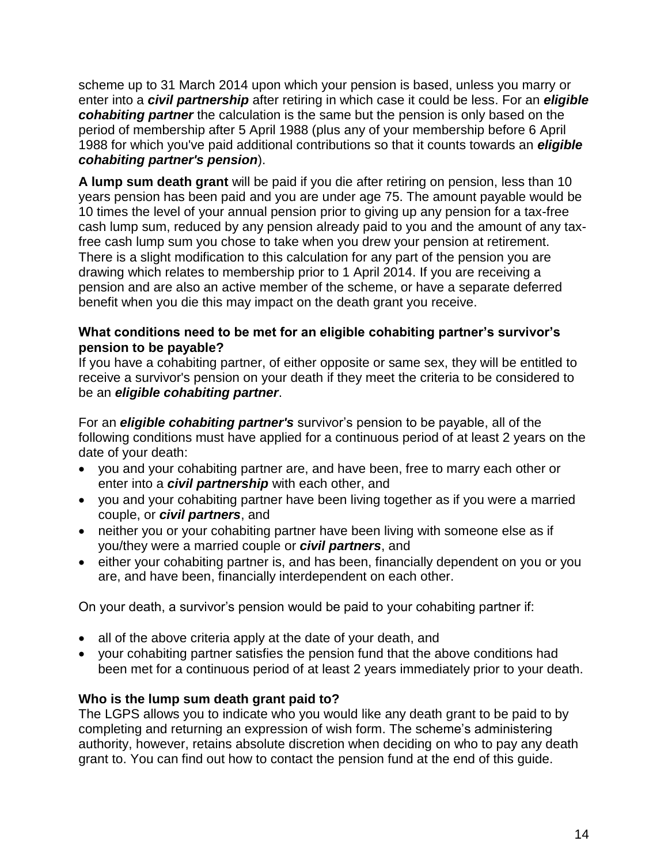scheme up to 31 March 2014 upon which your pension is based, unless you marry or enter into a *civil partnership* after retiring in which case it could be less. For an *eligible cohabiting partner* the calculation is the same but the pension is only based on the period of membership after 5 April 1988 (plus any of your membership before 6 April 1988 for which you've paid additional contributions so that it counts towards an *eligible cohabiting partner's pension*).

**A lump sum death grant** will be paid if you die after retiring on pension, less than 10 years pension has been paid and you are under age 75. The amount payable would be 10 times the level of your annual pension prior to giving up any pension for a tax-free cash lump sum, reduced by any pension already paid to you and the amount of any taxfree cash lump sum you chose to take when you drew your pension at retirement. There is a slight modification to this calculation for any part of the pension you are drawing which relates to membership prior to 1 April 2014. If you are receiving a pension and are also an active member of the scheme, or have a separate deferred benefit when you die this may impact on the death grant you receive.

### **What conditions need to be met for an eligible cohabiting partner's survivor's pension to be payable?**

If you have a cohabiting partner, of either opposite or same sex, they will be entitled to receive a survivor's pension on your death if they meet the criteria to be considered to be an *eligible cohabiting partner*.

For an *eligible cohabiting partner's* survivor's pension to be payable, all of the following conditions must have applied for a continuous period of at least 2 years on the date of your death:

- you and your cohabiting partner are, and have been, free to marry each other or enter into a *civil partnership* with each other, and
- you and your cohabiting partner have been living together as if you were a married couple, or *civil partners*, and
- neither you or your cohabiting partner have been living with someone else as if you/they were a married couple or *civil partners*, and
- either your cohabiting partner is, and has been, financially dependent on you or you are, and have been, financially interdependent on each other.

On your death, a survivor's pension would be paid to your cohabiting partner if:

- all of the above criteria apply at the date of your death, and
- your cohabiting partner satisfies the pension fund that the above conditions had been met for a continuous period of at least 2 years immediately prior to your death.

### **Who is the lump sum death grant paid to?**

The LGPS allows you to indicate who you would like any death grant to be paid to by completing and returning an expression of wish form. The scheme's administering authority, however, retains absolute discretion when deciding on who to pay any death grant to. You can find out how to contact the pension fund at the end of this guide.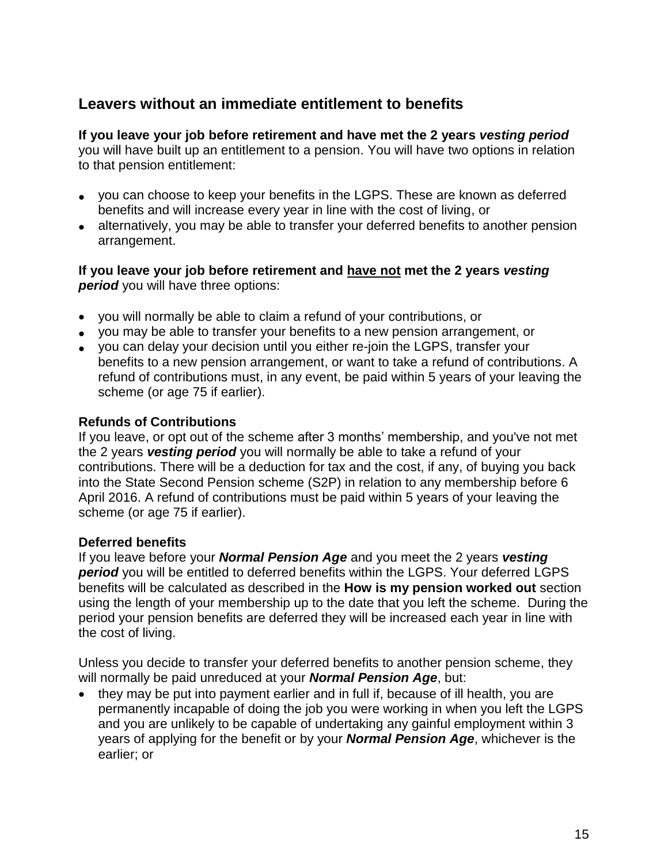# **Leavers without an immediate entitlement to benefits**

**If you leave your job before retirement and have met the 2 years** *vesting period* you will have built up an entitlement to a pension. You will have two options in relation to that pension entitlement:

- you can choose to keep your benefits in the LGPS. These are known as deferred benefits and will increase every year in line with the cost of living, or
- alternatively, you may be able to transfer your deferred benefits to another pension arrangement.

**If you leave your job before retirement and have not met the 2 years** *vesting period* you will have three options:

- you will normally be able to claim a refund of your contributions, or
- you may be able to transfer your benefits to a new pension arrangement, or
- you can delay your decision until you either re-join the LGPS, transfer your benefits to a new pension arrangement, or want to take a refund of contributions. A refund of contributions must, in any event, be paid within 5 years of your leaving the scheme (or age 75 if earlier).

### **Refunds of Contributions**

If you leave, or opt out of the scheme after 3 months' membership, and you've not met the 2 years *vesting period* you will normally be able to take a refund of your contributions. There will be a deduction for tax and the cost, if any, of buying you back into the State Second Pension scheme (S2P) in relation to any membership before 6 April 2016. A refund of contributions must be paid within 5 years of your leaving the scheme (or age 75 if earlier).

#### **Deferred benefits**

If you leave before your *Normal Pension Age* and you meet the 2 years *vesting*  **period** you will be entitled to deferred benefits within the LGPS. Your deferred LGPS benefits will be calculated as described in the **How is my pension worked out** section using the length of your membership up to the date that you left the scheme. During the period your pension benefits are deferred they will be increased each year in line with the cost of living.

Unless you decide to transfer your deferred benefits to another pension scheme, they will normally be paid unreduced at your *Normal Pension Age*, but:

• they may be put into payment earlier and in full if, because of ill health, you are permanently incapable of doing the job you were working in when you left the LGPS and you are unlikely to be capable of undertaking any gainful employment within 3 years of applying for the benefit or by your *Normal Pension Age*, whichever is the earlier; or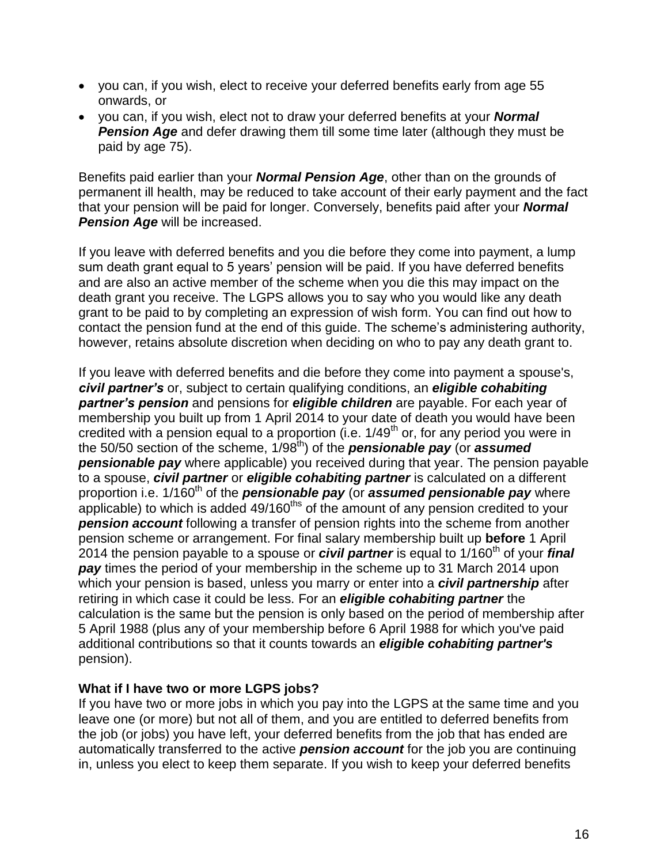- you can, if you wish, elect to receive your deferred benefits early from age 55 onwards, or
- you can, if you wish, elect not to draw your deferred benefits at your *Normal*  **Pension Age** and defer drawing them till some time later (although they must be paid by age 75).

Benefits paid earlier than your *Normal Pension Age*, other than on the grounds of permanent ill health, may be reduced to take account of their early payment and the fact that your pension will be paid for longer. Conversely, benefits paid after your *Normal Pension Age* will be increased.

If you leave with deferred benefits and you die before they come into payment, a lump sum death grant equal to 5 years' pension will be paid. If you have deferred benefits and are also an active member of the scheme when you die this may impact on the death grant you receive. The LGPS allows you to say who you would like any death grant to be paid to by completing an expression of wish form. You can find out how to contact the pension fund at the end of this guide. The scheme's administering authority, however, retains absolute discretion when deciding on who to pay any death grant to.

If you leave with deferred benefits and die before they come into payment a spouse's, *civil partner's* or, subject to certain qualifying conditions, an *eligible cohabiting partner's pension* and pensions for *eligible children* are payable. For each year of membership you built up from 1 April 2014 to your date of death you would have been credited with a pension equal to a proportion (i.e.  $1/49<sup>th</sup>$  or, for any period you were in the 50/50 section of the scheme, 1/98th) of the *pensionable pay* (or *assumed*  **pensionable pay** where applicable) you received during that year. The pension payable to a spouse, *civil partner* or *eligible cohabiting partner* is calculated on a different proportion i.e. 1/160<sup>th</sup> of the **pensionable pay** (or **assumed pensionable pay** where applicable) to which is added  $49/160$ <sup>ths</sup> of the amount of any pension credited to your **pension account** following a transfer of pension rights into the scheme from another pension scheme or arrangement. For final salary membership built up **before** 1 April 2014 the pension payable to a spouse or *civil partner* is equal to 1/160th of your *final pay* times the period of your membership in the scheme up to 31 March 2014 upon which your pension is based, unless you marry or enter into a *civil partnership* after retiring in which case it could be less. For an *eligible cohabiting partner* the calculation is the same but the pension is only based on the period of membership after 5 April 1988 (plus any of your membership before 6 April 1988 for which you've paid additional contributions so that it counts towards an *eligible cohabiting partner's* pension).

### **What if I have two or more LGPS jobs?**

If you have two or more jobs in which you pay into the LGPS at the same time and you leave one (or more) but not all of them, and you are entitled to deferred benefits from the job (or jobs) you have left, your deferred benefits from the job that has ended are automatically transferred to the active *pension account* for the job you are continuing in, unless you elect to keep them separate. If you wish to keep your deferred benefits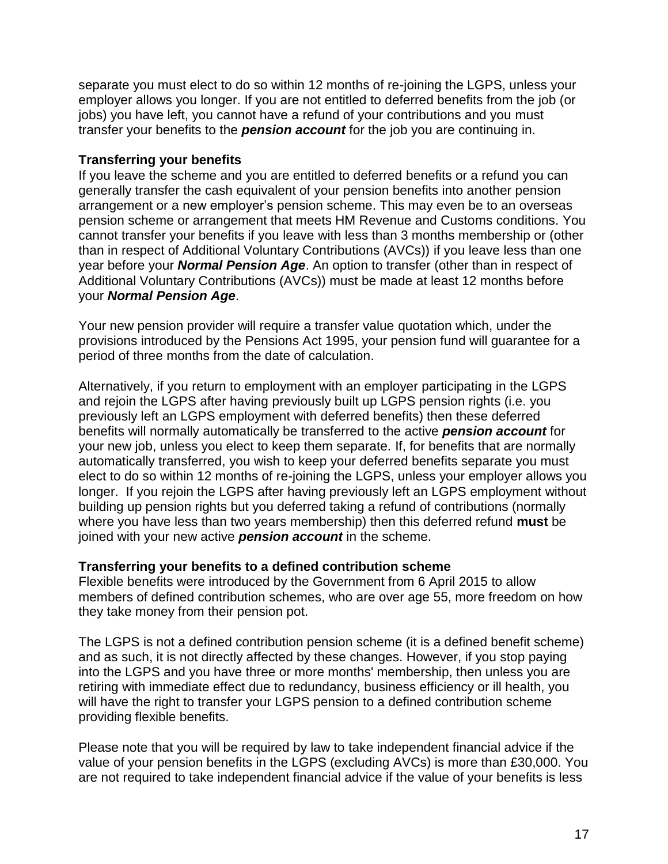separate you must elect to do so within 12 months of re-joining the LGPS, unless your employer allows you longer. If you are not entitled to deferred benefits from the job (or jobs) you have left, you cannot have a refund of your contributions and you must transfer your benefits to the *pension account* for the job you are continuing in.

### **Transferring your benefits**

If you leave the scheme and you are entitled to deferred benefits or a refund you can generally transfer the cash equivalent of your pension benefits into another pension arrangement or a new employer's pension scheme. This may even be to an overseas pension scheme or arrangement that meets HM Revenue and Customs conditions. You cannot transfer your benefits if you leave with less than 3 months membership or (other than in respect of Additional Voluntary Contributions (AVCs)) if you leave less than one year before your *Normal Pension Age*. An option to transfer (other than in respect of Additional Voluntary Contributions (AVCs)) must be made at least 12 months before your *Normal Pension Age*.

Your new pension provider will require a transfer value quotation which, under the provisions introduced by the Pensions Act 1995, your pension fund will guarantee for a period of three months from the date of calculation.

Alternatively, if you return to employment with an employer participating in the LGPS and rejoin the LGPS after having previously built up LGPS pension rights (i.e. you previously left an LGPS employment with deferred benefits) then these deferred benefits will normally automatically be transferred to the active *pension account* for your new job, unless you elect to keep them separate. If, for benefits that are normally automatically transferred, you wish to keep your deferred benefits separate you must elect to do so within 12 months of re-joining the LGPS, unless your employer allows you longer. If you rejoin the LGPS after having previously left an LGPS employment without building up pension rights but you deferred taking a refund of contributions (normally where you have less than two years membership) then this deferred refund **must** be joined with your new active *pension account* in the scheme.

#### **Transferring your benefits to a defined contribution scheme**

Flexible benefits were introduced by the Government from 6 April 2015 to allow members of defined contribution schemes, who are over age 55, more freedom on how they take money from their pension pot.

The LGPS is not a defined contribution pension scheme (it is a defined benefit scheme) and as such, it is not directly affected by these changes. However, if you stop paying into the LGPS and you have three or more months' membership, then unless you are retiring with immediate effect due to redundancy, business efficiency or ill health, you will have the right to transfer your LGPS pension to a defined contribution scheme providing flexible benefits.

Please note that you will be required by law to take independent financial advice if the value of your pension benefits in the LGPS (excluding AVCs) is more than £30,000. You are not required to take independent financial advice if the value of your benefits is less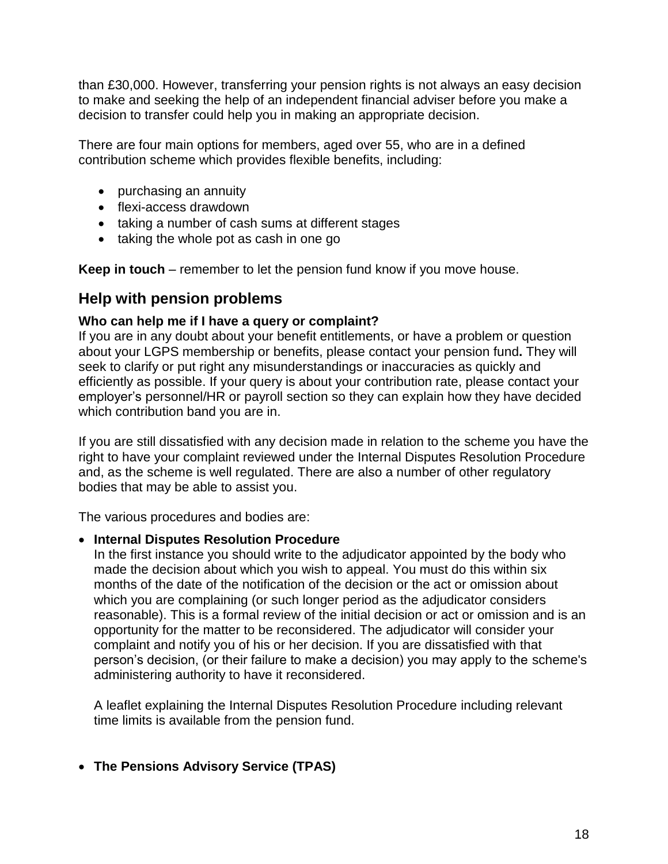than £30,000. However, transferring your pension rights is not always an easy decision to make and seeking the help of an independent financial adviser before you make a decision to transfer could help you in making an appropriate decision.

There are four main options for members, aged over 55, who are in a defined contribution scheme which provides flexible benefits, including:

- purchasing an annuity
- flexi-access drawdown
- taking a number of cash sums at different stages
- $\bullet$  taking the whole pot as cash in one go

**Keep in touch** – remember to let the pension fund know if you move house.

## **Help with pension problems**

### **Who can help me if I have a query or complaint?**

If you are in any doubt about your benefit entitlements, or have a problem or question about your LGPS membership or benefits, please contact your pension fund**.** They will seek to clarify or put right any misunderstandings or inaccuracies as quickly and efficiently as possible. If your query is about your contribution rate, please contact your employer's personnel/HR or payroll section so they can explain how they have decided which contribution band you are in.

If you are still dissatisfied with any decision made in relation to the scheme you have the right to have your complaint reviewed under the Internal Disputes Resolution Procedure and, as the scheme is well regulated. There are also a number of other regulatory bodies that may be able to assist you.

The various procedures and bodies are:

#### **Internal Disputes Resolution Procedure**

In the first instance you should write to the adjudicator appointed by the body who made the decision about which you wish to appeal. You must do this within six months of the date of the notification of the decision or the act or omission about which you are complaining (or such longer period as the adjudicator considers reasonable). This is a formal review of the initial decision or act or omission and is an opportunity for the matter to be reconsidered. The adjudicator will consider your complaint and notify you of his or her decision. If you are dissatisfied with that person's decision, (or their failure to make a decision) you may apply to the scheme's administering authority to have it reconsidered.

A leaflet explaining the Internal Disputes Resolution Procedure including relevant time limits is available from the pension fund.

### **The Pensions Advisory Service (TPAS)**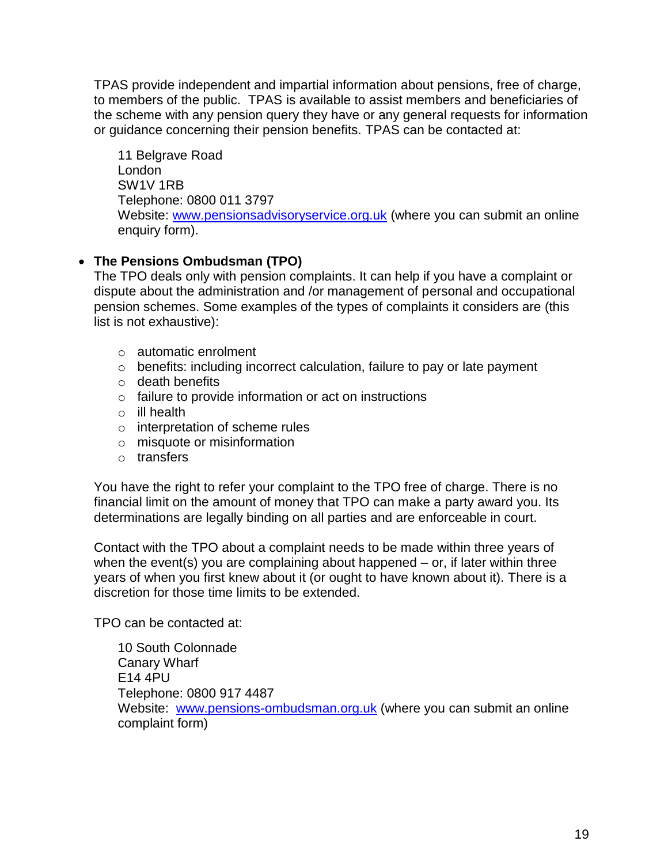TPAS provide independent and impartial information about pensions, free of charge, to members of the public. TPAS is available to assist members and beneficiaries of the scheme with any pension query they have or any general requests for information or guidance concerning their pension benefits. TPAS can be contacted at:

11 Belgrave Road London SW1V 1RB Telephone: 0800 011 3797 Website: [www.pensionsadvisoryservice.org.uk](http://www.pensionsadvisoryservice.org.uk/) (where you can submit an online enquiry form).

### **The Pensions Ombudsman (TPO)**

The TPO deals only with pension complaints. It can help if you have a complaint or dispute about the administration and /or management of personal and occupational pension schemes. Some examples of the types of complaints it considers are (this list is not exhaustive):

- o automatic enrolment
- o benefits: including incorrect calculation, failure to pay or late payment
- o death benefits
- o failure to provide information or act on instructions
- o ill health
- o interpretation of scheme rules
- o misquote or misinformation
- o transfers

You have the right to refer your complaint to the TPO free of charge. There is no financial limit on the amount of money that TPO can make a party award you. Its determinations are legally binding on all parties and are enforceable in court.

Contact with the TPO about a complaint needs to be made within three years of when the event(s) you are complaining about happened – or, if later within three years of when you first knew about it (or ought to have known about it). There is a discretion for those time limits to be extended.

TPO can be contacted at:

10 South Colonnade Canary Wharf E14 4PU Telephone: 0800 917 4487 Website: [www.pensions-ombudsman.org.uk](http://www.pensions-ombudsman.org.uk/) (where you can submit an online complaint form)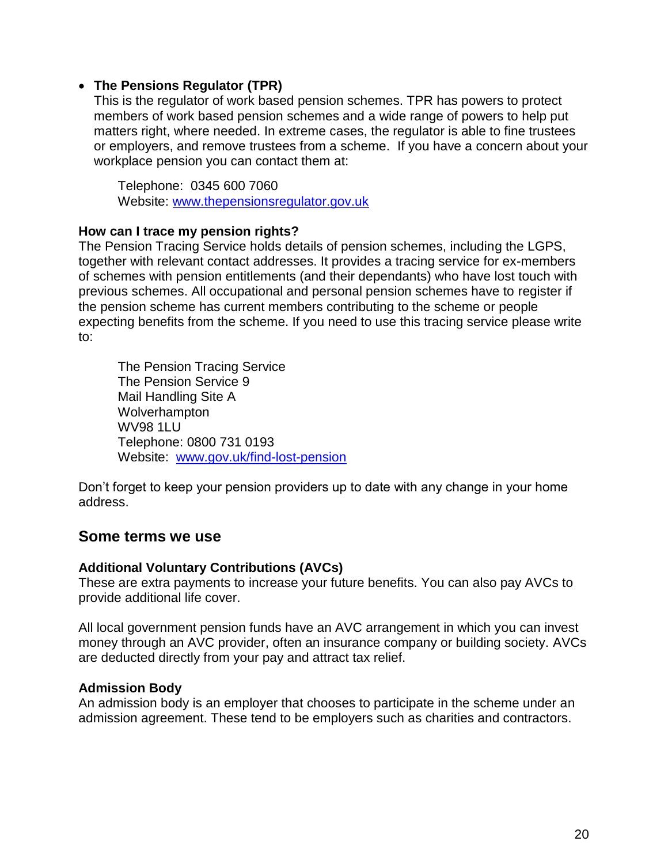### **The Pensions Regulator (TPR)**

This is the regulator of work based pension schemes. TPR has powers to protect members of work based pension schemes and a wide range of powers to help put matters right, where needed. In extreme cases, the regulator is able to fine trustees or employers, and remove trustees from a scheme. If you have a concern about your workplace pension you can contact them at:

Telephone: 0345 600 7060 Website: [www.thepensionsregulator.gov.uk](http://www.thepensionsregulator.gov.uk/)

#### **How can I trace my pension rights?**

The Pension Tracing Service holds details of pension schemes, including the LGPS, together with relevant contact addresses. It provides a tracing service for ex-members of schemes with pension entitlements (and their dependants) who have lost touch with previous schemes. All occupational and personal pension schemes have to register if the pension scheme has current members contributing to the scheme or people expecting benefits from the scheme. If you need to use this tracing service please write to:

The Pension Tracing Service The Pension Service 9 Mail Handling Site A Wolverhampton WV98 1LU Telephone: 0800 731 0193 Website: [www.gov.uk/find-lost-pension](http://www.gov.uk/find-lost-pension)

Don't forget to keep your pension providers up to date with any change in your home address.

### **Some terms we use**

#### **Additional Voluntary Contributions (AVCs)**

These are extra payments to increase your future benefits. You can also pay AVCs to provide additional life cover.

All local government pension funds have an AVC arrangement in which you can invest money through an AVC provider, often an insurance company or building society. AVCs are deducted directly from your pay and attract tax relief.

#### **Admission Body**

An admission body is an employer that chooses to participate in the scheme under an admission agreement. These tend to be employers such as charities and contractors.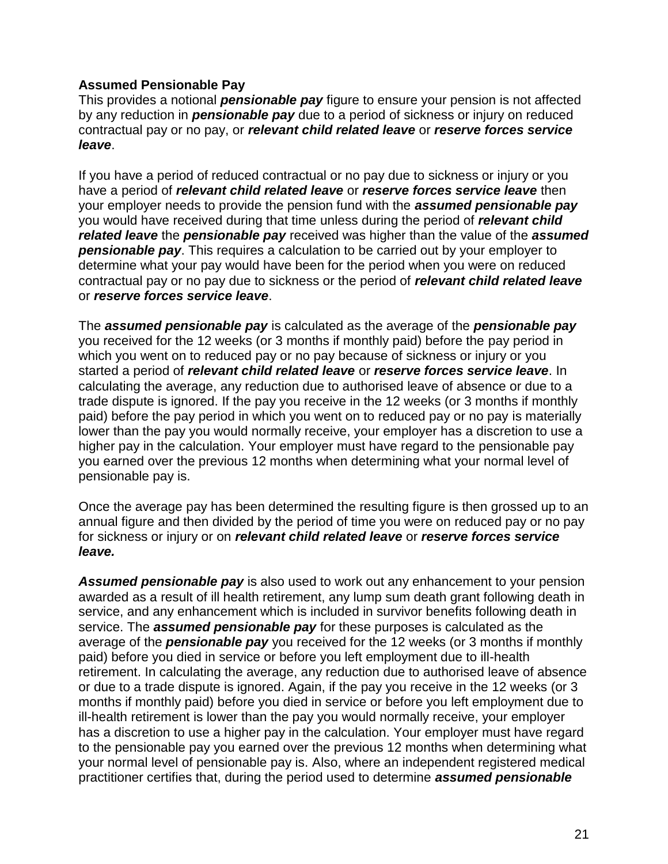#### **Assumed Pensionable Pay**

This provides a notional *pensionable pay* figure to ensure your pension is not affected by any reduction in *pensionable pay* due to a period of sickness or injury on reduced contractual pay or no pay, or *relevant child related leave* or *reserve forces service leave*.

If you have a period of reduced contractual or no pay due to sickness or injury or you have a period of *relevant child related leave* or *reserve forces service leave* then your employer needs to provide the pension fund with the *assumed pensionable pay* you would have received during that time unless during the period of *relevant child related leave* the *pensionable pay* received was higher than the value of the *assumed pensionable pay*. This requires a calculation to be carried out by your employer to determine what your pay would have been for the period when you were on reduced contractual pay or no pay due to sickness or the period of *relevant child related leave* or *reserve forces service leave*.

The *assumed pensionable pay* is calculated as the average of the *pensionable pay* you received for the 12 weeks (or 3 months if monthly paid) before the pay period in which you went on to reduced pay or no pay because of sickness or injury or you started a period of *relevant child related leave* or *reserve forces service leave*. In calculating the average, any reduction due to authorised leave of absence or due to a trade dispute is ignored. If the pay you receive in the 12 weeks (or 3 months if monthly paid) before the pay period in which you went on to reduced pay or no pay is materially lower than the pay you would normally receive, your employer has a discretion to use a higher pay in the calculation. Your employer must have regard to the pensionable pay you earned over the previous 12 months when determining what your normal level of pensionable pay is.

Once the average pay has been determined the resulting figure is then grossed up to an annual figure and then divided by the period of time you were on reduced pay or no pay for sickness or injury or on *relevant child related leave* or *reserve forces service leave.*

*Assumed pensionable pay* is also used to work out any enhancement to your pension awarded as a result of ill health retirement, any lump sum death grant following death in service, and any enhancement which is included in survivor benefits following death in service. The *assumed pensionable pay* for these purposes is calculated as the average of the *pensionable pay* you received for the 12 weeks (or 3 months if monthly paid) before you died in service or before you left employment due to ill-health retirement. In calculating the average, any reduction due to authorised leave of absence or due to a trade dispute is ignored. Again, if the pay you receive in the 12 weeks (or 3 months if monthly paid) before you died in service or before you left employment due to ill-health retirement is lower than the pay you would normally receive, your employer has a discretion to use a higher pay in the calculation. Your employer must have regard to the pensionable pay you earned over the previous 12 months when determining what your normal level of pensionable pay is. Also, where an independent registered medical practitioner certifies that, during the period used to determine *assumed pensionable*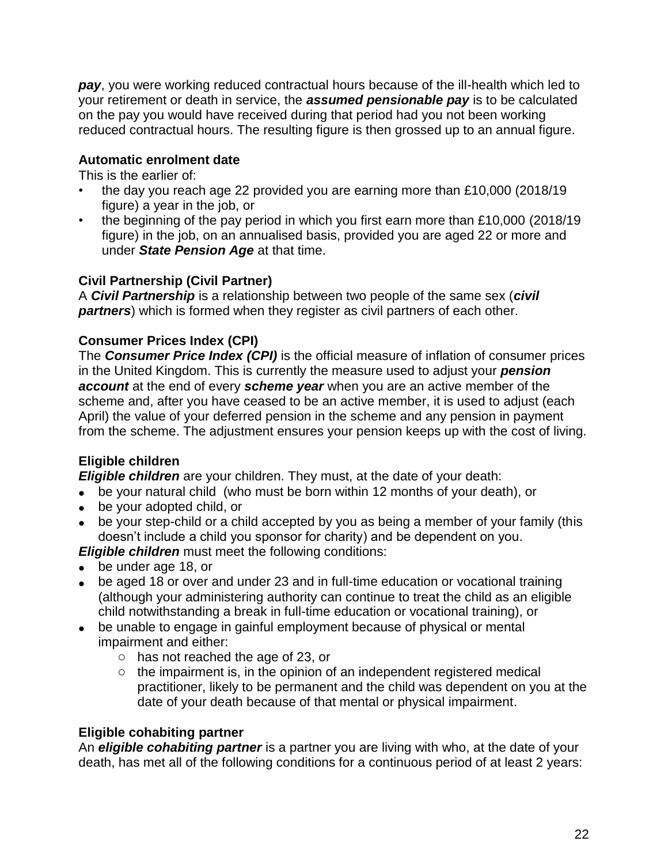*pay*, you were working reduced contractual hours because of the ill-health which led to your retirement or death in service, the *assumed pensionable pay* is to be calculated on the pay you would have received during that period had you not been working reduced contractual hours. The resulting figure is then grossed up to an annual figure.

### **Automatic enrolment date**

This is the earlier of:

- the day you reach age 22 provided you are earning more than £10,000 (2018/19 figure) a year in the job, or
- the beginning of the pay period in which you first earn more than £10,000 (2018/19 figure) in the job, on an annualised basis, provided you are aged 22 or more and under *State Pension Age* at that time.

### **Civil Partnership (Civil Partner)**

A *Civil Partnership* is a relationship between two people of the same sex (*civil partners*) which is formed when they register as civil partners of each other.

### **Consumer Prices Index (CPI)**

The *Consumer Price Index (CPI)* is the official measure of inflation of consumer prices in the United Kingdom. This is currently the measure used to adjust your *pension account* at the end of every *scheme year* when you are an active member of the scheme and, after you have ceased to be an active member, it is used to adjust (each April) the value of your deferred pension in the scheme and any pension in payment from the scheme. The adjustment ensures your pension keeps up with the cost of living.

### **Eligible children**

*Eligible children* are your children. They must, at the date of your death:

- be your natural child (who must be born within 12 months of your death), or
- be your adopted child, or
- be your step-child or a child accepted by you as being a member of your family (this doesn't include a child you sponsor for charity) and be dependent on you.

*Eligible children* must meet the following conditions:

- be under age 18, or
- be aged 18 or over and under 23 and in full-time education or vocational training (although your administering authority can continue to treat the child as an eligible child notwithstanding a break in full-time education or vocational training), or
- be unable to engage in gainful employment because of physical or mental impairment and either:
	- o has not reached the age of 23, or
	- $\circ$  the impairment is, in the opinion of an independent registered medical practitioner, likely to be permanent and the child was dependent on you at the date of your death because of that mental or physical impairment.

### **Eligible cohabiting partner**

An *eligible cohabiting partner* is a partner you are living with who, at the date of your death, has met all of the following conditions for a continuous period of at least 2 years: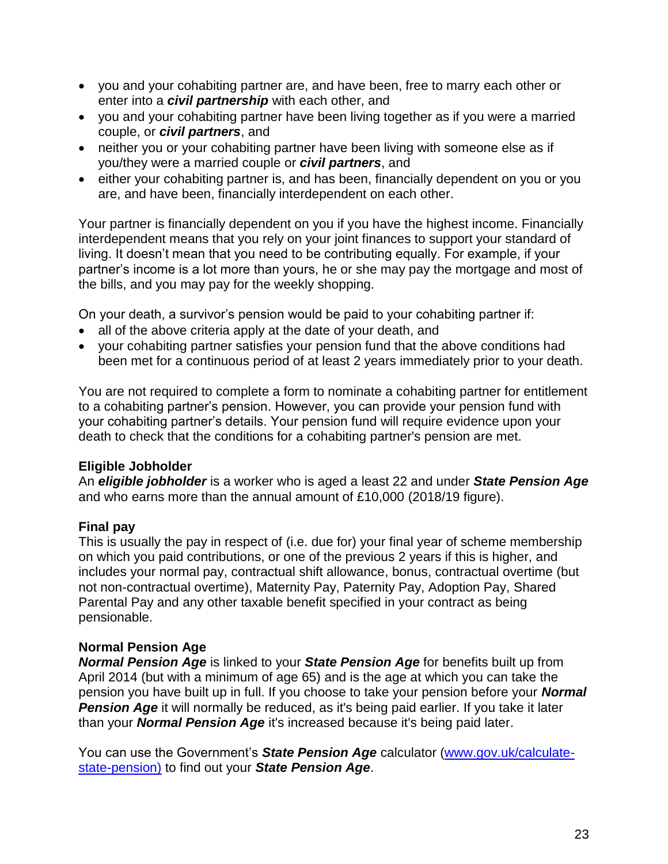- you and your cohabiting partner are, and have been, free to marry each other or enter into a *civil partnership* with each other, and
- you and your cohabiting partner have been living together as if you were a married couple, or *civil partners*, and
- neither you or your cohabiting partner have been living with someone else as if you/they were a married couple or *civil partners*, and
- either your cohabiting partner is, and has been, financially dependent on you or you are, and have been, financially interdependent on each other.

Your partner is financially dependent on you if you have the highest income. Financially interdependent means that you rely on your joint finances to support your standard of living. It doesn't mean that you need to be contributing equally. For example, if your partner's income is a lot more than yours, he or she may pay the mortgage and most of the bills, and you may pay for the weekly shopping.

On your death, a survivor's pension would be paid to your cohabiting partner if:

- all of the above criteria apply at the date of your death, and
- your cohabiting partner satisfies your pension fund that the above conditions had been met for a continuous period of at least 2 years immediately prior to your death.

You are not required to complete a form to nominate a cohabiting partner for entitlement to a cohabiting partner's pension. However, you can provide your pension fund with your cohabiting partner's details. Your pension fund will require evidence upon your death to check that the conditions for a cohabiting partner's pension are met.

### **Eligible Jobholder**

An *eligible jobholder* is a worker who is aged a least 22 and under *State Pension Age* and who earns more than the annual amount of £10,000 (2018/19 figure).

### **Final pay**

This is usually the pay in respect of (i.e. due for) your final year of scheme membership on which you paid contributions, or one of the previous 2 years if this is higher, and includes your normal pay, contractual shift allowance, bonus, contractual overtime (but not non-contractual overtime), Maternity Pay, Paternity Pay, Adoption Pay, Shared Parental Pay and any other taxable benefit specified in your contract as being pensionable.

### **Normal Pension Age**

*Normal Pension Age* is linked to your *State Pension Age* for benefits built up from April 2014 (but with a minimum of age 65) and is the age at which you can take the pension you have built up in full. If you choose to take your pension before your *Normal*  **Pension Age** it will normally be reduced, as it's being paid earlier. If you take it later than your *Normal Pension Age* it's increased because it's being paid later.

You can use the Government's *State Pension Age* calculator [\(www.gov.uk/calculate](http://www.gov.uk/calculate-state-pension)[state-pension\)](http://www.gov.uk/calculate-state-pension) to find out your *State Pension Age*.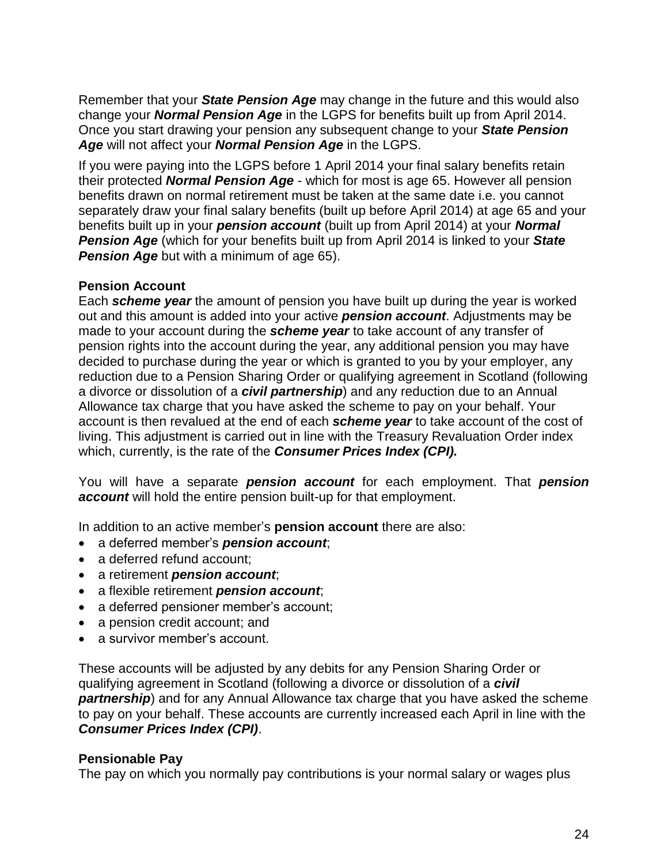Remember that your *State Pension Age* may change in the future and this would also change your *Normal Pension Age* in the LGPS for benefits built up from April 2014. Once you start drawing your pension any subsequent change to your *State Pension Age* will not affect your *Normal Pension Age* in the LGPS.

If you were paying into the LGPS before 1 April 2014 your final salary benefits retain their protected *Normal Pension Age* - which for most is age 65. However all pension benefits drawn on normal retirement must be taken at the same date i.e. you cannot separately draw your final salary benefits (built up before April 2014) at age 65 and your benefits built up in your *pension account* (built up from April 2014) at your *Normal Pension Age* (which for your benefits built up from April 2014 is linked to your *State*  **Pension Age** but with a minimum of age 65).

### **Pension Account**

Each *scheme year* the amount of pension you have built up during the year is worked out and this amount is added into your active *pension account*. Adjustments may be made to your account during the *scheme year* to take account of any transfer of pension rights into the account during the year, any additional pension you may have decided to purchase during the year or which is granted to you by your employer, any reduction due to a Pension Sharing Order or qualifying agreement in Scotland (following a divorce or dissolution of a *civil partnership*) and any reduction due to an Annual Allowance tax charge that you have asked the scheme to pay on your behalf. Your account is then revalued at the end of each *scheme year* to take account of the cost of living. This adjustment is carried out in line with the Treasury Revaluation Order index which, currently, is the rate of the *Consumer Prices Index (CPI).*

You will have a separate *pension account* for each employment. That *pension account* will hold the entire pension built-up for that employment.

In addition to an active member's **pension account** there are also:

- a deferred member's *pension account*;
- a deferred refund account;
- a retirement *pension account*;
- a flexible retirement *pension account*;
- a deferred pensioner member's account:
- a pension credit account; and
- a survivor member's account.

These accounts will be adjusted by any debits for any Pension Sharing Order or qualifying agreement in Scotland (following a divorce or dissolution of a *civil*  **partnership**) and for any Annual Allowance tax charge that you have asked the scheme to pay on your behalf. These accounts are currently increased each April in line with the *Consumer Prices Index (CPI)*.

#### **Pensionable Pay**

The pay on which you normally pay contributions is your normal salary or wages plus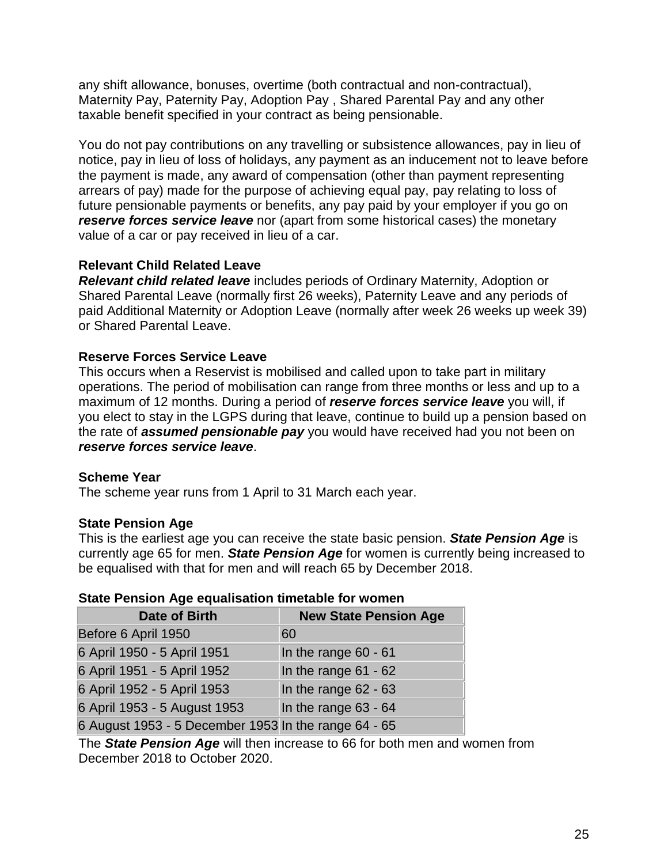any shift allowance, bonuses, overtime (both contractual and non-contractual), Maternity Pay, Paternity Pay, Adoption Pay , Shared Parental Pay and any other taxable benefit specified in your contract as being pensionable.

You do not pay contributions on any travelling or subsistence allowances, pay in lieu of notice, pay in lieu of loss of holidays, any payment as an inducement not to leave before the payment is made, any award of compensation (other than payment representing arrears of pay) made for the purpose of achieving equal pay, pay relating to loss of future pensionable payments or benefits, any pay paid by your employer if you go on *reserve forces service leave* nor (apart from some historical cases) the monetary value of a car or pay received in lieu of a car.

### **Relevant Child Related Leave**

*Relevant child related leave* includes periods of Ordinary Maternity, Adoption or Shared Parental Leave (normally first 26 weeks), Paternity Leave and any periods of paid Additional Maternity or Adoption Leave (normally after week 26 weeks up week 39) or Shared Parental Leave.

### **Reserve Forces Service Leave**

This occurs when a Reservist is mobilised and called upon to take part in military operations. The period of mobilisation can range from three months or less and up to a maximum of 12 months. During a period of *reserve forces service leave* you will, if you elect to stay in the LGPS during that leave, continue to build up a pension based on the rate of *assumed pensionable pay* you would have received had you not been on *reserve forces service leave*.

### **Scheme Year**

The scheme year runs from 1 April to 31 March each year.

### **State Pension Age**

This is the earliest age you can receive the state basic pension. *State Pension Age* is currently age 65 for men. *State Pension Age* for women is currently being increased to be equalised with that for men and will reach 65 by December 2018.

### **State Pension Age equalisation timetable for women**

| <b>Date of Birth</b>                                 | <b>New State Pension Age</b> |
|------------------------------------------------------|------------------------------|
| Before 6 April 1950                                  | 60                           |
| 6 April 1950 - 5 April 1951                          | In the range $60 - 61$       |
| 6 April 1951 - 5 April 1952                          | In the range $61 - 62$       |
| 6 April 1952 - 5 April 1953                          | In the range $62 - 63$       |
| 6 April 1953 - 5 August 1953                         | In the range 63 - 64         |
| 6 August 1953 - 5 December 1953 In the range 64 - 65 |                              |

The *State Pension Age* will then increase to 66 for both men and women from December 2018 to October 2020.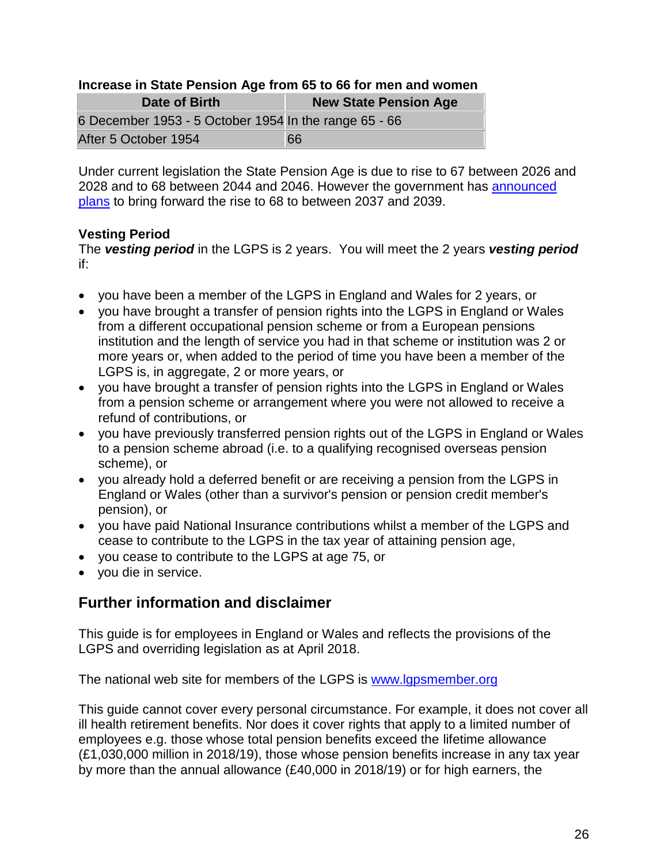### **Increase in State Pension Age from 65 to 66 for men and women**

| Date of Birth                                         | <b>New State Pension Age</b> |
|-------------------------------------------------------|------------------------------|
| 6 December 1953 - 5 October 1954 In the range 65 - 66 |                              |
| After 5 October 1954                                  | 66                           |

Under current legislation the State Pension Age is due to rise to 67 between 2026 and 2028 and to 68 between 2044 and 2046. However the government has [announced](https://www.gov.uk/government/uploads/system/uploads/attachment_data/file/630065/state-pension-age-review-final-report.pdf)  [plans](https://www.gov.uk/government/uploads/system/uploads/attachment_data/file/630065/state-pension-age-review-final-report.pdf) to bring forward the rise to 68 to between 2037 and 2039.

### **Vesting Period**

The *vesting period* in the LGPS is 2 years. You will meet the 2 years *vesting period* if:

- you have been a member of the LGPS in England and Wales for 2 years, or
- you have brought a transfer of pension rights into the LGPS in England or Wales from a different occupational pension scheme or from a European pensions institution and the length of service you had in that scheme or institution was 2 or more years or, when added to the period of time you have been a member of the LGPS is, in aggregate, 2 or more years, or
- you have brought a transfer of pension rights into the LGPS in England or Wales from a pension scheme or arrangement where you were not allowed to receive a refund of contributions, or
- you have previously transferred pension rights out of the LGPS in England or Wales to a pension scheme abroad (i.e. to a qualifying recognised overseas pension scheme), or
- you already hold a deferred benefit or are receiving a pension from the LGPS in England or Wales (other than a survivor's pension or pension credit member's pension), or
- you have paid National Insurance contributions whilst a member of the LGPS and cease to contribute to the LGPS in the tax year of attaining pension age,
- you cease to contribute to the LGPS at age 75, or
- vou die in service.

# **Further information and disclaimer**

This guide is for employees in England or Wales and reflects the provisions of the LGPS and overriding legislation as at April 2018.

The national web site for members of the LGPS is [www.lgpsmember.org](http://www.lgpsmember.org/)

This guide cannot cover every personal circumstance. For example, it does not cover all ill health retirement benefits. Nor does it cover rights that apply to a limited number of employees e.g. those whose total pension benefits exceed the lifetime allowance (£1,030,000 million in 2018/19), those whose pension benefits increase in any tax year by more than the annual allowance (£40,000 in 2018/19) or for high earners, the